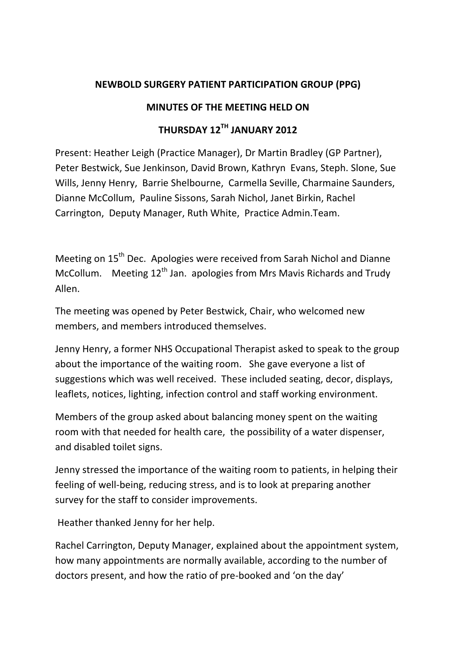## **NEWBOLD SURGERY PATIENT PARTICIPATION GROUP (PPG)**

## **MINUTES OF THE MEETING HELD ON**

## **THURSDAY 12TH JANUARY 2012**

Present: Heather Leigh (Practice Manager), Dr Martin Bradley (GP Partner), Peter Bestwick, Sue Jenkinson, David Brown, Kathryn Evans, Steph. Slone, Sue Wills, Jenny Henry, Barrie Shelbourne, Carmella Seville, Charmaine Saunders, Dianne McCollum, Pauline Sissons, Sarah Nichol, Janet Birkin, Rachel Carrington, Deputy Manager, Ruth White, Practice Admin.Team.

Meeting on 15<sup>th</sup> Dec. Apologies were received from Sarah Nichol and Dianne McCollum. Meeting  $12<sup>th</sup>$  Jan. apologies from Mrs Mavis Richards and Trudy Allen.

The meeting was opened by Peter Bestwick, Chair, who welcomed new members, and members introduced themselves.

Jenny Henry, a former NHS Occupational Therapist asked to speak to the group about the importance of the waiting room. She gave everyone a list of suggestions which was well received. These included seating, decor, displays, leaflets, notices, lighting, infection control and staff working environment.

Members of the group asked about balancing money spent on the waiting room with that needed for health care, the possibility of a water dispenser, and disabled toilet signs.

Jenny stressed the importance of the waiting room to patients, in helping their feeling of well-being, reducing stress, and is to look at preparing another survey for the staff to consider improvements.

Heather thanked Jenny for her help.

Rachel Carrington, Deputy Manager, explained about the appointment system, how many appointments are normally available, according to the number of doctors present, and how the ratio of pre-booked and 'on the day'